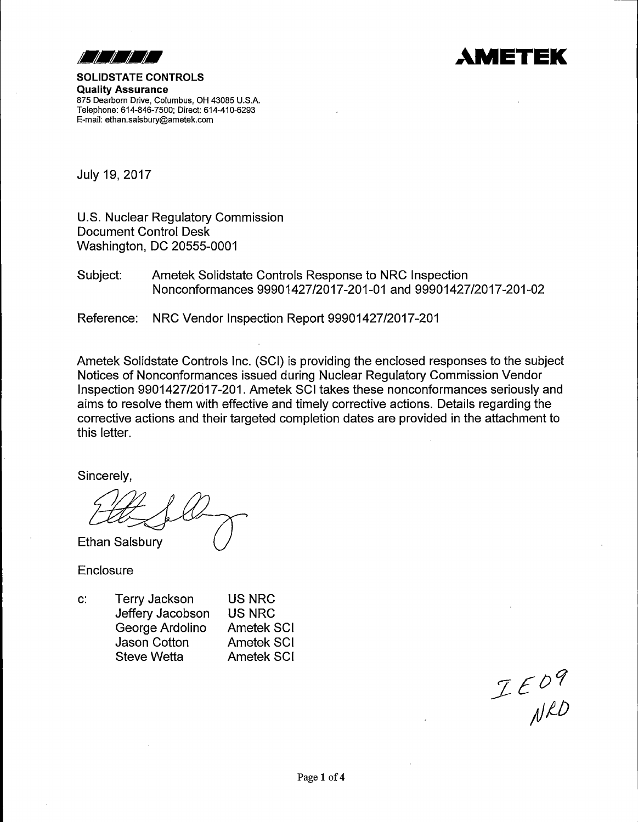



Quality Assurance 875 Dearborn Drive, Columbus, OH 43085 U.S.A. Telephone: 614-846-7500; Direct: 614-410-6293 E-mail: ethan.salsbury@ametek.com

July 19, 2017

U.S. Nuclear Regulatory Commission Document Control Desk Washington, DC 20555-0001

Subject: Ametek Solidstate Controls Response to NRG Inspection Nonconformances 99901427/2017-201-01 and 99901427/2017-201-02

Reference: NRG Vendor Inspection Report 99901427/2017-201

Ametek Solidstate Controls Inc. (SCI) is providing the enclosed responses to the subject Notices of Nonconformances issued during Nuclear Regulatory Commission Vendor Inspection 9901427/2017-201. Ametek SCI takes these nonconformances seriously and aims to resolve them with effective and timely corrective actions. Details regarding the corrective actions and their targeted completion dates are provided in the attachment to this letter.

Sincerely,

 $Z$ 

Enclosure

c: Terry Jackson Jeffery Jacobson George Ardolino Jason Cotton Steve Wetta US NRC US NRG Ametek SCI Ametek SCI Ametek SCI

 $I E O 9$ <br> $N 10$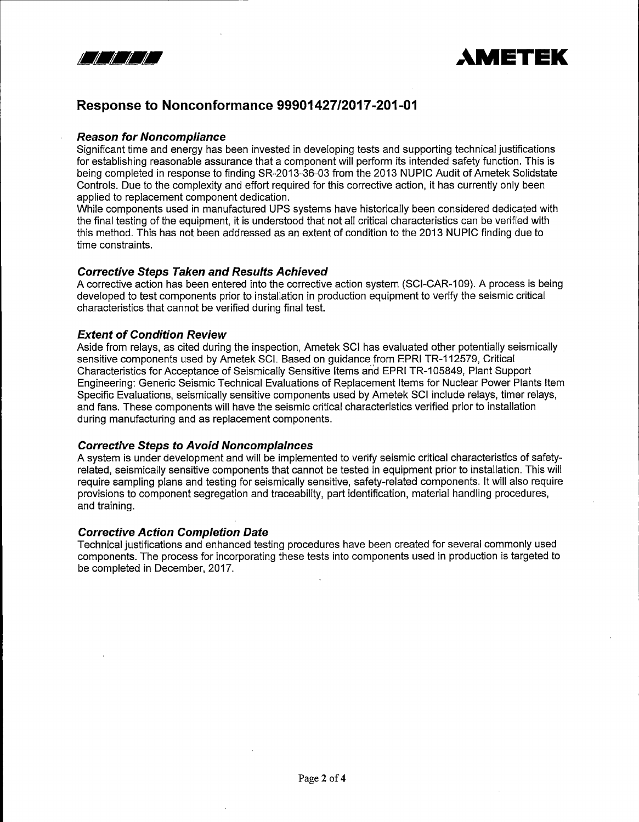



# **Response to Nonconformance 99901427/2017-201-01**

#### **Reason for Noncompliance**

Significant time and energy has been invested in developing tests and supporting technical justifications for establishing reasonable assurance that a component will perform its intended safety function. This is being completed in response to finding SR-2013-36-03 from the 2013 NUPIC Audit of Ametek Solidstate Controls. Due to the complexity and effort required for this corrective action, it has currently only been applied to replacement component dedication.

While components used in manufactured UPS systems have historically been considered dedicated with the final testing of the equipment, it is understood that not all critical characteristics can be verified with this method. This has not been addressed as an extent of condition to the 2013 NUPIC finding due to time constraints.

#### **Corrective Steps Taken and Results Achieved**

A corrective action has been entered into the corrective action system (SCl-CAR-109). A process is being developed to test components prior to installation in production equipment to verify the seismic critical characteristics that cannot be verified during final test.

# **Extent of Condition Review**

Aside from relays, as cited during the inspection, Ametek SCI has evaluated other potentially seismically sensitive components used by Ametek SCI. Based on guidance from EPRI TR-112579, Critical Characteristics for Acceptance of Seismically Sensitive Items and EPRI TR-105849, Plant Support Engineering: Generic Seismic Technical Evaluations of Replacement Items for Nuclear Power Plants Item Specific Evaluations, seismically sensitive components used by Ametek SCI include relays, timer relays, and fans. These components will have the seismic critical characteristics verified prior to installation during manufacturing and as replacement components.

#### **Corrective Steps to Avoid Noncomplainces**

A system is under development and will be implemented to verify seismic critical characteristics of safetyrelated, seismically sensitive components that cannot be tested in equipment prior to installation. This will require sampling plans and testing for seismically sensitive, safety-related components. It will also require provisions to component segregation and traceability, part identification, material handling procedures, and training.

#### **Corrective Action Completion Date**

Technical justifications and enhanced testing procedures have been created for several commonly used components. The process for incorporating these tests into components used in production is targeted to be completed in December, 2017.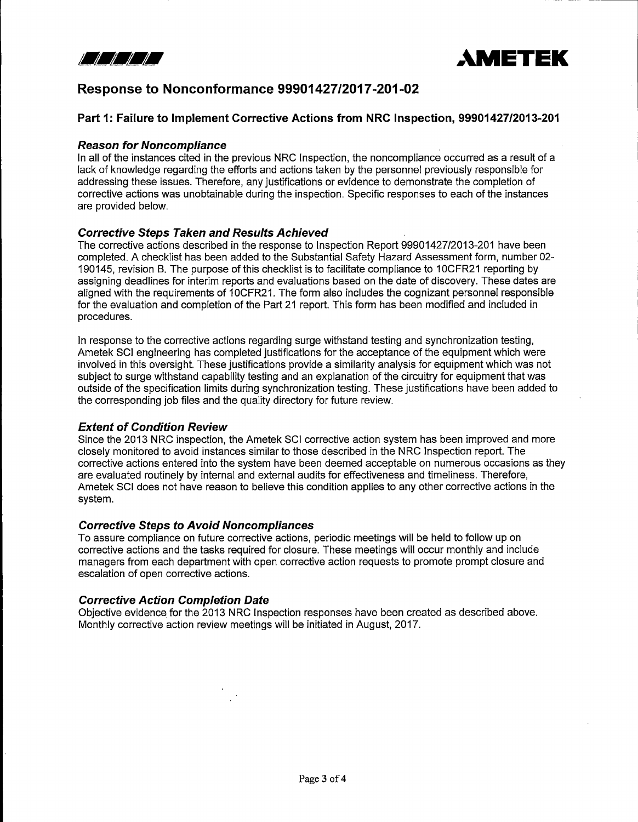



# **Response to Nonconformance 99901427/2017-201-02**

# **Part 1: Failure to Implement Corrective Actions from NRC Inspection, 99901427/2013-201**

### **Reason for Noncompliance**

In all of the instances cited in the previous NRC Inspection, the noncompliance occurred as a result of a lack of knowledge regarding the efforts and actions taken by the personnel previously responsible for addressing these issues. Therefore, any justifications or evidence to demonstrate the completion of corrective actions was unobtainable during the inspection. Specific responses to each of the instances are provided below.

# **Corrective Steps Taken and Results Achieved**

The corrective actions described in the response to Inspection Report 99901427/2013-201 have been completed. A checklist has been added to the Substantial Safety Hazard Assessment form, number 02- 190145, revision B. The purpose of this checklist is to facilitate compliance to 1 OCFR21 reporting by assigning deadlines for interim reports and evaluations based on the date of discovery. These dates are aligned with the requirements of 10CFR21. The form also includes the cognizant personnel responsible for the evaluation and completion of the Part 21 report. This form has been modified and included in procedures.

In response to the corrective actions regarding surge withstand testing and synchronization testing, Ametek SCI engineering has completed justifications for the acceptance of the equipment which were involved in this oversight. These justifications provide a similarity analysis for equipment which was not subject to surge withstand capability testing and an explanation of the circuitry for equipment that was outside of the specification limits during synchronization testing. These justifications have been added to the corresponding job files and the quality directory for future review.

#### **Extent of Condition Review**

Since the 2013 NRC inspection, the Ametek SCI corrective action system has been improved and more closely monitored to avoid instances similar to those described in the NRC Inspection report. The corrective actions entered into the system have been deemed acceptable on numerous occasions as they are evaluated routinely by internal and external audits for effectiveness and timeliness. Therefore, Ametek SCI does not have reason to believe this condition applies to any other corrective actions in the system.

#### **Corrective Steps to Avoid Noncompliances**

To assure compliance on future corrective actions, periodic meetings will be held to follow up on corrective actions and the tasks required for closure. These meetings will occur monthly and include managers from each department with open corrective action requests to promote prompt closure and escalation of open corrective actions.

# **Corrective Action Completion Date**

Objective evidence for the 2013 NRC Inspection responses have been created as described above. Monthly corrective action review meetings will be initiated in August, 2017.